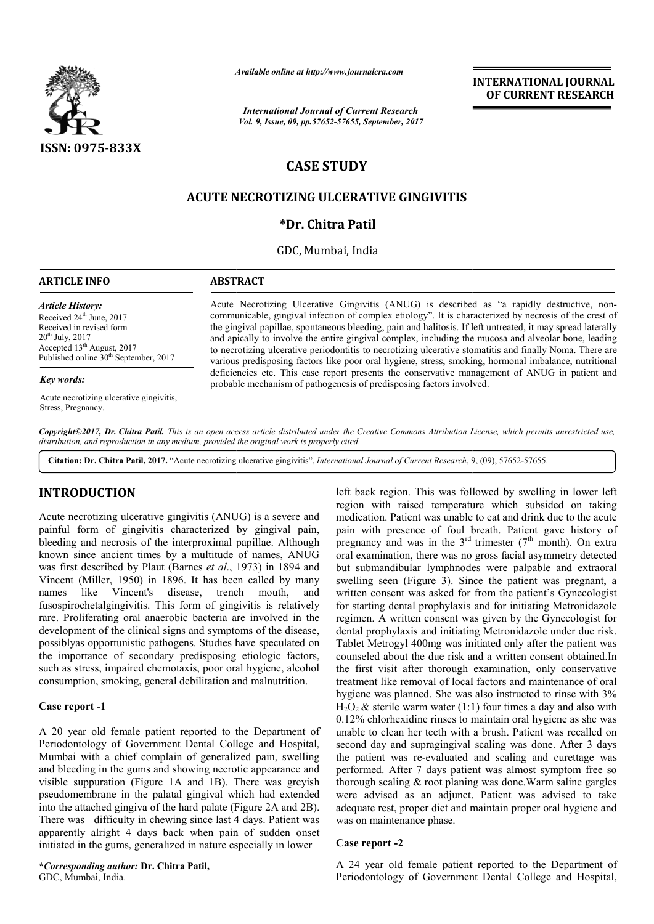

*Available online at http://www.journalcra.com*

*International Journal of Current Research Vol. 9, Issue, 09, pp.57652-57655, September, 2017* **INTERNATIONAL JOURNAL OF CURRENT RESEARCH**

# **CASE STUDY**

# **ACUTE NECROTIZING ULCERATIVE GINGIVITIS**

## **\*Dr. Chitra Patil**

GDC, Mumbai, India

#### **ARTICLE INFO ABSTRACT**

*Article History:* Received 24<sup>th</sup> June, 2017 Received in revised form  $20^{th}$  July,  $2017$ Accepted 13<sup>th</sup> August, 2017 Published online  $30<sup>th</sup>$  September, 2017

#### *Key words:*

Acute necrotizing ulcerative gingivitis, Stress, Pregnancy.

Acute Necrotizing Ulcerative Gingivitis (ANUG) is described as "a rapidly destructive, non Acute Necrotizing Ulcerative Gingivitis is noncommunicable, gingival infection of complex etiology". It is characterized by necrosis of the crest of the gingival papillae, spontaneous bleeding, pain and halitosis. If left untreated, it may spread laterally and apically to involve the entire gingival complex, including the mucosa and alveolar bone, leading to necrotizing ulcerative periodontitis to necrotizing ulcerative stomatitis and finally Noma. There are various predisposing factors like poor oral hygiene, stress, smoking, hormonal imbalance, nutritional deficiencies etc. This case report presents the conservative management of ANUG in patient and various predisposing factors like poor oral hygiene, stress, smoking, deficiencies etc. This case report presents the conservative manage probable mechanism of pathogenesis of predisposing factors involved. communicable, gingival infection of complex etiology". It is characterized by necrosis of the gingival papillae, spontaneous bleeding, pain and halitosis. If left untreated, it may spread apically to involve the entire gin

Copyright©2017, Dr. Chitra Patil. This is an open access article distributed under the Creative Commons Attribution License, which permits unrestricted use, *distribution, and reproduction in any medium, provided the original work is properly cited.*

Citation: Dr. Chitra Patil, 2017. "Acute necrotizing ulcerative gingivitis", *International Journal of Current Research*, 9, (09), 57652-57655.

## **INTRODUCTION**

Acute necrotizing ulcerative gingivitis (ANUG) is a severe and painful form of gingivitis characterized by gingival pain, bleeding and necrosis of the interproximal papillae. Although known since ancient times by a multitude of names, ANUG was first described by Plaut (Barnes et al., 1973) in 1894 and Vincent (Miller, 1950) in 1896. It has been called by many names like Vincent's disease, fusospirochetalgingivitis. This form of gingivitis is relatively rare. Proliferating oral anaerobic bacteria are involved in the development of the clinical signs and symptoms of the disease, possiblyas opportunistic pathogens. Studies have speculated on the importance of secondary predisposing etiologic factors, such as stress, impaired chemotaxis, poor oral hygiene, alcohol consumption, smoking, general debilitation and malnutrition. trench mouth, and s. This f<br>anaerobi<br>ical signs<br>pathoge pathoda<br>ondary p<br>demota<br>general c<br>patient r<br>patient r<br>ernment

#### **Case report -1**

A 20 year old female patient reported to the Department of Periodontology of Government Dental College and Hospital, Mumbai with a chief complain of generalized pain, swelling and bleeding in the gums and showing necrotic appearance and visible suppuration (Figure 1A and 1B). There was greyish pseudomembrane in the palatal gingival which had extended into the attached gingiva of the hard palate (Figure 2A and 2B). There was difficulty in chewing since last 4 days. Patient was apparently alright 4 days back when pain of sudden onset initiated in the gums, generalized in nature especially in lower

left back region. This was followed by swelling in lower left region with raised temperature which subsided on taking medication. Patient was unable to eat and drink due to the acute left back region. This was followed by swelling in lower left region with raised temperature which subsided on taking medication. Patient was unable to eat and drink due to the acute pain with presence of foul breath. Pati pregnancy and was in the  $3<sup>rd</sup>$  trimester (7<sup>th</sup> month). On extra oral examination, there was no gross facial asymmetry detected but submandibular lymphnodes were palpable and extraoral swelling seen (Figure 3). Since the patient was pregnant, a written consent was asked for from the patient's Gynecologist for starting dental prophylaxis and for initiating Metronidazole regimen. A written consent was given by the Gynecologist for dental prophylaxis and initiating Metronidazole under due risk. Tablet Metrogyl 400mg was initiated only after the patient was counseled about the due risk and a written consent obtained.In the first visit after thorough examination, only conservative treatment like removal of local factors and maintenance of oral treatment like removal of local factors and maintenance of oral<br>hygiene was planned. She was also instructed to rinse with 3%  $H<sub>2</sub>O<sub>2</sub>$  & sterile warm water (1:1) four times a day and also with 0.12% chlorhexidine rinses to maintain oral hygiene as she was unable to clean her teeth with a brush. Patient was recalled on second day and supragingival scaling was done. After 3 days the patient was re-evaluated and scaling and curettage was performed. After 7 days patient was almost symptom free so thorough scaling & root planing was done. Warm saline gargles were advised as an adjunct. Patient was advised to take adequate rest, proper diet and maintain proper oral hygiene and was on maintenance phase. gross facial asymmetry detected<br>es were palpable and extraoral<br>ce the patient was pregnant, a<br>from the patient's Gynecologist Il prophylaxis and for initiating Metronidazole<br>en consent was given by the Gynecologist for<br>is and initiating Metronidazole under due risk.<br>400mg was initiated only after the patient was  $H_2O_2$  & sterile warm water (1:1) four times a day and also with 0.12% chlorhexidine rinses to maintain oral hygiene as she was unable to clean her teeth with a brush. Patient was recalled on second day and supragingiva evaluated and scaling and curettage was<br>days patient was almost symptom free so<br>root planing was done.Warm saline gargles **INTERNATIONAL JOURNAL OF CURRENT RESEARCH**<br> **OF CURRENT RESEARCH**<br> **OF CURRENT RESEARCH**<br>
It is characterized by necrosis of the creat of this is it field uniterated, it may spread laterally<br>
litiosis. If left untreated,

### **Case report -2**

A 24 year old female patient reported to the Department of Periodontology of Government Dental College and Hospital,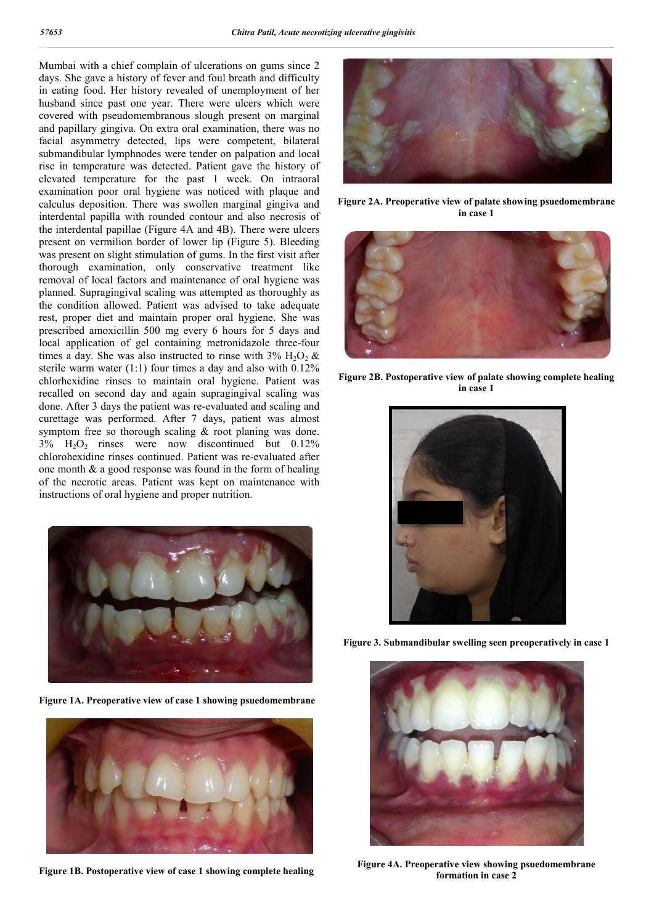Mumbai with a chief complain of ulcerations on gums since 2 days. She gave a history of fever and foul breath and difficulty in eating food. Her history revealed of unemployment of her husband since past one year. There were ulcers which were covered with pseudomembranous slough present on marginal and papillary gingiva. On extra oral examination, there was no facial asymmetry detected, lips were competent, bilateral submandibular lymphnodes were tender on palpation and local rise in temperature was detected. Patient gave the history of elevated temperature for the past 1 week. On intraoral examination poor oral hygiene was noticed with plaque and calculus deposition. There was swollen marginal gingiva and interdental papilla with rounded contour and also necrosis of the interdental papillae (Figure 4A and 4B). There were ulcers present on vermilion border of lower lip (Figure 5). Bleeding was present on slight stimulation of gums. In the first visit after thorough examination, only conservative treatment like removal of local factors and maintenance of oral hygiene was planned. Supragingival scaling was attempted as thoroughly as the condition allowed. Patient was advised to take adequate rest, proper diet and maintain proper oral hygiene. She was prescribed amoxicillin 500 mg every 6 hours for 5 days and local application of gel containing metronidazole three-four times a day. She was also instructed to rinse with  $3\%$  H<sub>2</sub>O<sub>2</sub> & sterile warm water (1:1) four times a day and also with 0.12% chlorhexidine rinses to maintain oral hygiene. Patient was recalled on second day and again supragingival scaling was done. After 3 days the patient was re-evaluated and scaling and curettage was performed. After 7 days, patient was almost symptom free so thorough scaling & root planing was done.  $3\%$  H<sub>2</sub>O<sub>2</sub> rinses were now discontinued but 0.12% chlorohexidine rinses continued. Patient was re-evaluated after one month & a good response was found in the form of healing of the necrotic areas. Patient was kept on maintenance with instructions of oral hygiene and proper nutrition.



**Figure 1A. Preoperative view of case 1 showing psuedomembrane**



**Figure 1B. Postoperative view of case 1 showing complete healing**



**Figure 2A. Preoperative view of palate showing psuedomembrane in case 1**



**Figure 2B. Postoperative view of palate showing complete healing in case 1**



**Figure 3. Submandibular swelling seen preoperatively in case 1**



**Figure 4A. Preoperative view showing psuedomembrane formation in case 2**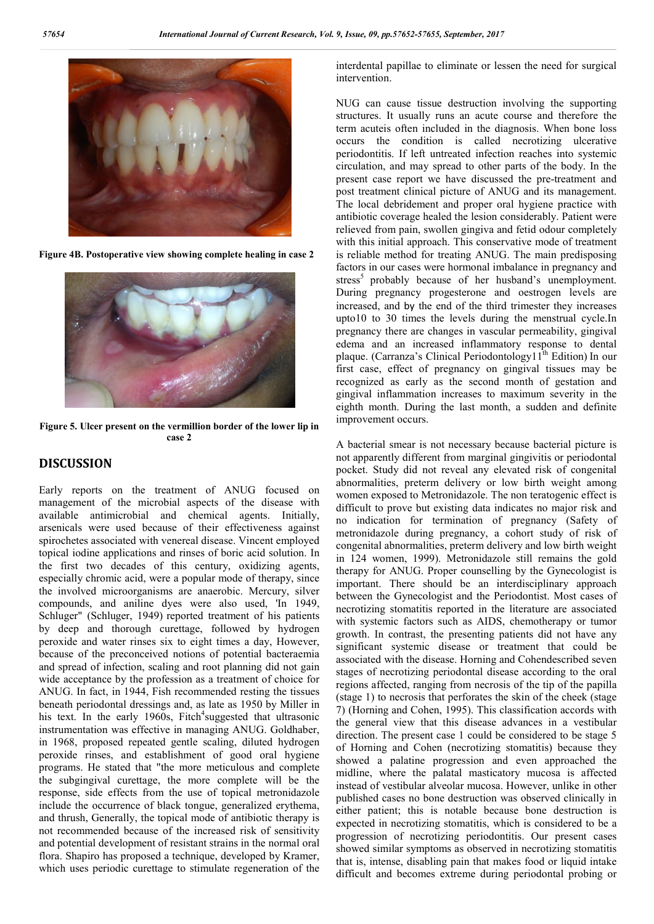

**Figure 4B. Postoperative view showing complete healing in case 2**



**Figure 5. Ulcer present on the vermillion border of the lower lip in case 2**

## **DISCUSSION**

Early reports on the treatment of ANUG focused on management of the microbial aspects of the disease with available antimicrobial and chemical agents. Initially, arsenicals were used because of their effectiveness against spirochetes associated with venereal disease. Vincent employed topical iodine applications and rinses of boric acid solution. In the first two decades of this century, oxidizing agents, especially chromic acid, were a popular mode of therapy, since the involved microorganisms are anaerobic. Mercury, silver compounds, and aniline dyes were also used, 'In 1949, Schluger" (Schluger, 1949) reported treatment of his patients by deep and thorough curettage, followed by hydrogen peroxide and water rinses six to eight times a day, However, because of the preconceived notions of potential bacteraemia and spread of infection, scaling and root planning did not gain wide acceptance by the profession as a treatment of choice for ANUG. In fact, in 1944, Fish recommended resting the tissues beneath periodontal dressings and, as late as 1950 by Miller in his text. In the early 1960s, Fitch<sup>4</sup>suggested that ultrasonic instrumentation was effective in managing ANUG. Goldhaber, in 1968, proposed repeated gentle scaling, diluted hydrogen peroxide rinses, and establishment of good oral hygiene programs. He stated that "the more meticulous and complete the subgingival curettage, the more complete will be the response, side effects from the use of topical metronidazole include the occurrence of black tongue, generalized erythema, and thrush, Generally, the topical mode of antibiotic therapy is not recommended because of the increased risk of sensitivity and potential development of resistant strains in the normal oral flora. Shapiro has proposed a technique, developed by Kramer, which uses periodic curettage to stimulate regeneration of the

interdental papillae to eliminate or lessen the need for surgical intervention.

NUG can cause tissue destruction involving the supporting structures. It usually runs an acute course and therefore the term acuteis often included in the diagnosis. When bone loss occurs the condition is called necrotizing ulcerative periodontitis. If left untreated infection reaches into systemic circulation, and may spread to other parts of the body. In the present case report we have discussed the pre-treatment and post treatment clinical picture of ANUG and its management. The local debridement and proper oral hygiene practice with antibiotic coverage healed the lesion considerably. Patient were relieved from pain, swollen gingiva and fetid odour completely with this initial approach. This conservative mode of treatment is reliable method for treating ANUG. The main predisposing factors in our cases were hormonal imbalance in pregnancy and stress<sup>3</sup> probably because of her husband's unemployment. During pregnancy progesterone and oestrogen levels are increased, and by the end of the third trimester they increases upto10 to 30 times the levels during the menstrual cycle.In pregnancy there are changes in vascular permeability, gingival edema and an increased inflammatory response to dental plaque. (Carranza's Clinical Periodontology11<sup>th</sup> Edition) In our first case, effect of pregnancy on gingival tissues may be recognized as early as the second month of gestation and gingival inflammation increases to maximum severity in the eighth month. During the last month, a sudden and definite improvement occurs.

A bacterial smear is not necessary because bacterial picture is not apparently different from marginal gingivitis or periodontal pocket. Study did not reveal any elevated risk of congenital abnormalities, preterm delivery or low birth weight among women exposed to Metronidazole. The non teratogenic effect is difficult to prove but existing data indicates no major risk and no indication for termination of pregnancy (Safety of metronidazole during pregnancy, a cohort study of risk of congenital abnormalities, preterm delivery and low birth weight in 124 women, 1999). Metronidazole still remains the gold therapy for ANUG. Proper counselling by the Gynecologist is important. There should be an interdisciplinary approach between the Gynecologist and the Periodontist. Most cases of necrotizing stomatitis reported in the literature are associated with systemic factors such as AIDS, chemotherapy or tumor growth. In contrast, the presenting patients did not have any significant systemic disease or treatment that could be associated with the disease. Horning and Cohendescribed seven stages of necrotizing periodontal disease according to the oral regions affected, ranging from necrosis of the tip of the papilla (stage 1) to necrosis that perforates the skin of the cheek (stage 7) (Horning and Cohen, 1995). This classification accords with the general view that this disease advances in a vestibular direction. The present case 1 could be considered to be stage 5 of Horning and Cohen (necrotizing stomatitis) because they showed a palatine progression and even approached the midline, where the palatal masticatory mucosa is affected instead of vestibular alveolar mucosa. However, unlike in other published cases no bone destruction was observed clinically in either patient; this is notable because bone destruction is expected in necrotizing stomatitis, which is considered to be a progression of necrotizing periodontitis. Our present cases showed similar symptoms as observed in necrotizing stomatitis that is, intense, disabling pain that makes food or liquid intake difficult and becomes extreme during periodontal probing or